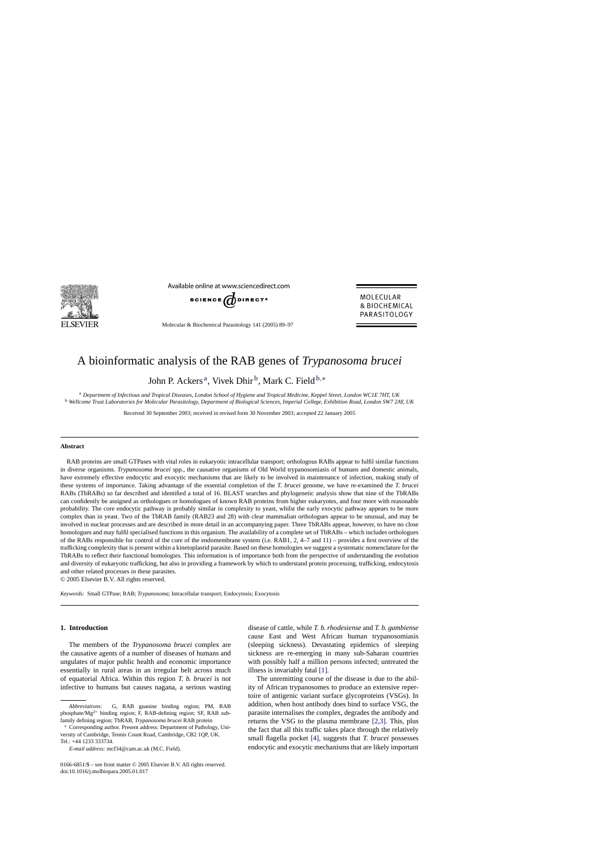

Available online at www.sciencedirect.com



Molecular & Biochemical Parasitology 141 (2005) 89–97

MOLECULAR & BIOCHEMICAL PARASITOLOGY

# A bioinformatic analysis of the RAB genes of *Trypanosoma brucei*

John P. Ackers<sup>a</sup>, Vivek Dhir<sup>b</sup>, Mark C. Field<sup>b,\*</sup>

<sup>a</sup> *Department of Infectious and Tropical Diseases, London School of Hygiene and Tropical Medicine, Keppel Street, London WC1E7HT, UK* <sup>b</sup> *Wellcome Trust Laboratories for Molecular Parasitology, Department of Biological Sciences, Imperial College, Exhibition Road, London SW7 2AY, UK*

Received 30 September 2003; received in revised form 30 November 2003; accepted 22 January 2005

#### **Abstract**

RAB proteins are small GTPases with vital roles in eukaryotic intracellular transport; orthologous RABs appear to fulfil similar functions in diverse organisms. *Trypanosoma brucei* spp., the causative organisms of Old World trypanosomiasis of humans and domestic animals, have extremely effective endocytic and exocytic mechanisms that are likely to be involved in maintenance of infection, making study of these systems of importance. Taking advantage of the essential completion of the *T. brucei* genome, we have re-examined the *T. brucei* RABs (TbRABs) so far described and identified a total of 16. BLAST searches and phylogenetic analysis show that nine of the TbRABs can confidently be assigned as orthologues or homologues of known RAB proteins from higher eukaryotes, and four more with reasonable probability. The core endocytic pathway is probably similar in complexity to yeast, whilst the early exocytic pathway appears to be more complex than in yeast. Two of the TbRAB family (RAB23 and 28) with clear mammalian orthologues appear to be unusual, and may be involved in nuclear processes and are described in more detail in an accompanying paper. Three TbRABs appear, however, to have no close homologues and may fulfil specialised functions in this organism. The availability of a complete set of TbRABs – which includes orthologues of the RABs responsible for control of the core of the endomembrane system (i.e. RAB1, 2, 4–7 and 11) – provides a first overview of the trafficking complexity that is present within a kinetoplastid parasite. Based on these homologies we suggest a systematic nomenclature for the TbRABs to reflect their functional homologies. This information is of importance both from the perspective of understanding the evolution and diversity of eukaryotic trafficking, but also in providing a framework by which to understand protein processing, trafficking, endocytosis and other related processes in these parasites.

© 2005 Elsevier B.V. All rights reserved.

*Keywords:* Small GTPase; RAB; *Trypanosoma*; Intracellular transport; Endocytosis; Exocytosis

#### **1. Introduction**

The members of the *Trypanosoma brucei* complex are the causative agents of a number of diseases of humans and ungulates of major public health and economic importance essentially in rural areas in an irregular belt across much of equatorial Africa. Within this region *T. b. brucei* is not infective to humans but causes nagana, a serious wasting

*E-mail address:* mcf34@cam.ac.uk (M.C. Field).

disease of cattle, while *T. b. rhodesiense* and *T. b. gambiense* cause East and West African human trypanosomiasis (sleeping sickness). Devastating epidemics of sleeping sickness are re-emerging in many sub-Saharan countries with possibly half a million persons infected; untreated the illness is invariably fatal [\[1\].](#page-7-0)

The unremitting course of the disease is due to the ability of African trypanosomes to produce an extensive repertoire of antigenic variant surface glycoproteins (VSGs). In addition, when host antibody does bind to surface VSG, the parasite internalises the complex, degrades the antibody and returns the VSG to the plasma membrane [\[2,3\].](#page-7-0) This, plus the fact that all this traffic takes place through the relatively small flagella pocket [\[4\],](#page-7-0) suggests that *T. brucei* possesses endocytic and exocytic mechanisms that are likely important

*Abbreviations:* G, RAB guanine binding region; PM, RAB phosphate/ $Mg^{2+}$  binding region; F, RAB-defining region; SF, RAB subfamily defining region; TbRAB, *Trypanosoma brucei* RAB protein

Corresponding author. Present address: Department of Pathology, University of Cambridge, Tennis Count Road, Cambridge, CB2 1QP, UK. Tel.: +44 1233 333734.

<sup>0166-6851/\$ –</sup> see front matter © 2005 Elsevier B.V. All rights reserved. doi:10.1016/j.molbiopara.2005.01.017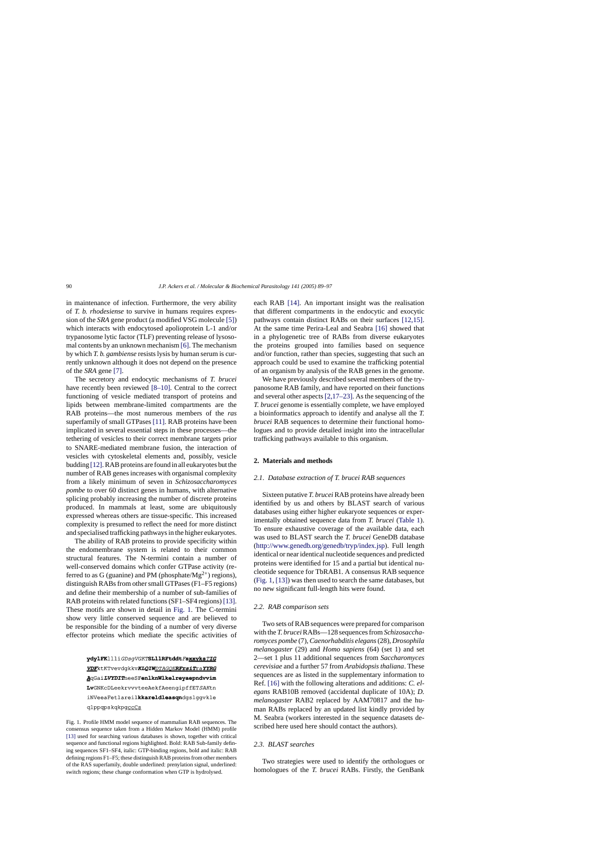<span id="page-1-0"></span>in maintenance of infection. Furthermore, the very ability of *T. b. rhodesiense* to survive in humans requires expression of the *SRA* gene product (a modified VSG molecule [\[5\]\)](#page-7-0) which interacts with endocytosed apolioprotein L-1 and/or trypanosome lytic factor (TLF) preventing release of lysosomal contents by an unknown mechanism [\[6\]. T](#page-7-0)he mechanism by which *T. b. gambiense* resists lysis by human serum is currently unknown although it does not depend on the presence of the *SRA* gene [\[7\].](#page-7-0)

The secretory and endocytic mechanisms of *T. brucei* have recently been reviewed [\[8–10\].](#page-7-0) Central to the correct functioning of vesicle mediated transport of proteins and lipids between membrane-limited compartments are the RAB proteins—the most numerous members of the *ras* superfamily of small GTPases [\[11\]. R](#page-8-0)AB proteins have been implicated in several essential steps in these processes—the tethering of vesicles to their correct membrane targets prior to SNARE-mediated membrane fusion, the interaction of vesicles with cytoskeletal elements and, possibly, vesicle budding [\[12\]. R](#page-8-0)AB proteins are found in all eukaryotes but the number of RAB genes increases with organismal complexity from a likely minimum of seven in *Schizosaccharomyces pombe* to over 60 distinct genes in humans, with alternative splicing probably increasing the number of discrete proteins produced. In mammals at least, some are ubiquitously expressed whereas others are tissue-specific. This increased complexity is presumed to reflect the need for more distinct and specialised trafficking pathways in the higher eukaryotes.

The ability of RAB proteins to provide specificity within the endomembrane system is related to their common structural features. The N-termini contain a number of well-conserved domains which confer GTPase activity (referred to as G (guanine) and PM (phosphate/ $Mg^{2+}$ ) regions), distinguish RABs from other small GTPases (F1–F5 regions) and define their membership of a number of sub-families of RAB proteins with related functions (SF1–SF4 regions) [\[13\].](#page-8-0) These motifs are shown in detail in Fig. 1. The C-termini show very little conserved sequence and are believed to be responsible for the binding of a number of very diverse effector proteins which mediate the specific activities of

> ydylFKllliGDsgVGKTSLllRFtddtFsxxyksTIG VDFktKTvevdgkkvKLQIWDTAGQERFrsiTraYYRG AqGaiLVYDITneeSFenlknWlkelreyaepndvvim LvGNKcDLeekrvvvteeAekfAeengipffETSAKtn iNVeeaFetlareilkkareldleasqndgslggvkle qlppqpskqkpgccCs

Fig. 1. Profile HMM model sequence of mammalian RAB sequences. The consensus sequence taken from a Hidden Markov Model (HMM) profile [\[13\]](#page-8-0) used for searching various databases is shown, together with critical sequence and functional regions highlighted. Bold: RAB Sub-family defining sequences SF1–SF4, italic: GTP-binding regions, bold and italic: RAB defining regions F1–F5; these distinguish RAB proteins from other members of the RAS superfamily, double underlined: prenylation signal, underlined: switch regions; these change conformation when GTP is hydrolysed.

each RAB [\[14\].](#page-8-0) An important insight was the realisation that different compartments in the endocytic and exocytic pathways contain distinct RABs on their surfaces [\[12,15\].](#page-8-0) At the same time Perira-Leal and Seabra [\[16\]](#page-8-0) showed that in a phylogenetic tree of RABs from diverse eukaryotes the proteins grouped into families based on sequence and/or function, rather than species, suggesting that such an approach could be used to examine the trafficking potential of an organism by analysis of the RAB genes in the genome.

We have previously described several members of the trypanosome RAB family, and have reported on their functions and several other aspects [\[2,17–23\]. A](#page-7-0)s the sequencing of the *T. brucei* genome is essentially complete, we have employed a bioinformatics approach to identify and analyse all the *T. brucei* RAB sequences to determine their functional homologues and to provide detailed insight into the intracellular trafficking pathways available to this organism.

## **2. Materials and methods**

#### *2.1. Database extraction of T. brucei RAB sequences*

Sixteen putative *T. brucei* RAB proteins have already been identified by us and others by BLAST search of various databases using either higher eukaryote sequences or experimentally obtained sequence data from *T. brucei* ([Table 1\).](#page-2-0) To ensure exhaustive coverage of the available data, each was used to BLAST search the *T. brucei* GeneDB database [\(http://www.genedb.org/genedb/tryp/index.jsp\)](http://www.genedb.org/genedb/tryp/index.jsp). Full length identical or near identical nucleotide sequences and predicted proteins were identified for 15 and a partial but identical nucleotide sequence for TbRAB1. A consensus RAB sequence (Fig. 1, [\[13\]\)](#page-8-0) was then used to search the same databases, but no new significant full-length hits were found.

#### *2.2. RAB comparison sets*

Two sets of RAB sequences were prepared for comparison with the *T. brucei*RABs—128 sequences from*Schizosaccharomyces pombe* (7),*Caenorhabditis elegans*(28), *Drosophila melanogaster* (29) and *Homo sapiens* (64) (set 1) and set 2—set 1 plus 11 additional sequences from *Saccharomyces cerevisiae* and a further 57 from *Arabidopsis thaliana*. These sequences are as listed in the supplementary information to Ref. [\[16\]](#page-8-0) with the following alterations and additions: *C. elegans* RAB10B removed (accidental duplicate of 10A); *D. melanogaster* RAB2 replaced by AAM70817 and the human RABs replaced by an updated list kindly provided by M. Seabra (workers interested in the sequence datasets described here used here should contact the authors).

### *2.3. BLAST searches*

Two strategies were used to identify the orthologues or homologues of the *T. brucei* RABs. Firstly, the GenBank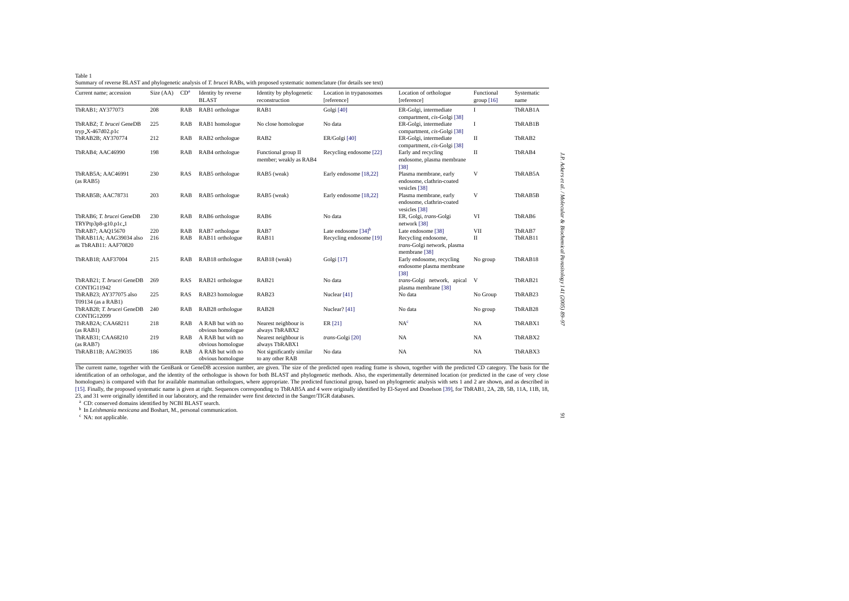<span id="page-2-0"></span>

| Table 1                                                                                                                            |  |
|------------------------------------------------------------------------------------------------------------------------------------|--|
| Summary of reverse BLAST and phylogenetic analysis of T. brucei RABs, with proposed systematic nomenclature (for details see text) |  |

| Current name; accession                         | Size (AA) | CD <sup>a</sup> | Identity by reverse<br><b>BLAST</b>    | Identity by phylogenetic<br>reconstruction    | Location in trypanosomes<br>[reference]                                               | Location of orthologue<br>[reference]                                | Functional<br>group [16] | Systematic<br>name |
|-------------------------------------------------|-----------|-----------------|----------------------------------------|-----------------------------------------------|---------------------------------------------------------------------------------------|----------------------------------------------------------------------|--------------------------|--------------------|
| TbRAB1; AY377073                                | 208       | RAB             | RAB1 orthologue                        | RAB1                                          | Golgi [40]                                                                            | ER-Golgi, intermediate<br>compartment, cis-Golgi [38]                | $\bf{I}$                 | TbRAB1A            |
| TbRABZ; T. brucei GeneDB<br>tryp_X-467d02.p1c   | 225       | <b>RAB</b>      | RAB1 homologue                         | No close homologue                            | No data                                                                               | ER-Golgi, intermediate<br>compartment, cis-Golgi [38]                | Ι                        | TbRAB1B            |
| TbRAB2B; AY370774                               | 212       | <b>RAB</b>      | RAB2 orthologue                        | RAB <sub>2</sub>                              | ER/Golgi [40]                                                                         | ER-Golgi, intermediate<br>compartment, cis-Golgi [38]                | П                        | TbRAB <sub>2</sub> |
| TbRAB4; AAC46990                                | 198       | RAB             | RAB4 orthologue                        | Functional group II<br>member; weakly as RAB4 | Early and recycling<br>Recycling endosome [22]<br>endosome, plasma membrane<br>$[38]$ |                                                                      | П                        | TbRAB4             |
| TbRAB5A; AAC46991<br>(as RAB5)                  | 230       | <b>RAS</b>      | RAB5 orthologue                        | RAB5 (weak)                                   | Early endosome [18,22]                                                                | Plasma membrane, early<br>endosome, clathrin-coated<br>vesicles [38] | V                        | TbRAB5A            |
| TbRAB5B; AAC78731                               | 203       | <b>RAB</b>      | RAB5 orthologue                        | RAB5 (weak)                                   | Early endosome [18,22]                                                                | Plasma membrane, early<br>endosome, clathrin-coated<br>vesicles [38] | V                        | TbRAB5B            |
| TbRAB6; T. brucei GeneDB<br>TRYPtp3p8-g10.p1c_1 | 230       | RAB             | RAB6 orthologue                        | RAB6                                          | No data                                                                               | ER, Golgi, trans-Golgi<br>network [38]                               | VI                       | TbRAB6             |
| TbRAB7; AAQ15670                                | 220       | <b>RAB</b>      | RAB7 orthologue                        | RAB7                                          | Late endosome $[34]$ <sup>b</sup>                                                     | Late endosome [38]                                                   | VII                      | TbRAB7             |
| TbRAB11A; AAG39034 also<br>as TbRAB11: AAF70820 | 216       | RAB             | RAB11 orthologue                       | RAB11                                         | Recycling endosome [19]                                                               | Recycling endosome,<br>trans-Golgi network, plasma<br>membrane [38]  | $\mathbf{I}$             | TbRAB11            |
| TbRAB18; AAF37004                               | 215       | <b>RAB</b>      | RAB18 orthologue                       | RAB18 (weak)                                  | Golgi [17]                                                                            | Early endosome, recycling<br>endosome plasma membrane<br>$[38]$      | No group                 | TbRAB18            |
| TbRAB21; T. brucei GeneDB<br>CONTIG11942        | 269       | <b>RAS</b>      | RAB21 orthologue                       | RAB21                                         | No data                                                                               | trans-Golgi network, apical<br>plasma membrane [38]                  | V                        | TbRAB21            |
| TbRAB23; AY377075 also<br>T09134 (as a RAB1)    | 225       | <b>RAS</b>      | RAB23 homologue                        | RAB <sub>23</sub>                             | Nuclear [41]                                                                          | No data                                                              | No Group                 | TbRAB23            |
| TbRAB28; T. brucei GeneDB<br>CONTIG12099        | 240       | RAB             | RAB28 orthologue                       | RAB28                                         | Nuclear? [41]                                                                         | No data                                                              | No group                 | TbRAB28            |
| TbRAB2A; CAA68211<br>(as RAB1)                  | 218       | RAB             | A RAB but with no<br>obvious homologue | Nearest neighbour is<br>always TbRABX2        | ER [21]                                                                               | NA <sup>c</sup>                                                      | NA                       | TbRABX1            |
| TbRAB31; CAA68210<br>(as RAB7)                  | 219       | RAB             | A RAB but with no<br>obvious homologue | Nearest neighbour is<br>always TbRABX1        | trans-Golgi [20]                                                                      | <b>NA</b>                                                            | NA                       | TbRABX2            |
| TbRAB11B; AAG39035                              | 186       | <b>RAB</b>      | A RAB but with no<br>obvious homologue | Not significantly similar<br>to any other RAB | No data                                                                               | <b>NA</b>                                                            | <b>NA</b>                | TbRABX3            |

The current name, together with the GenBank or GeneDB accession number, are given. The size of the predicted open reading frame is shown, together with the predicted CD category. The basis for the identification of an orthologue, and the identity of the orthologue is shown for both BLAST and phylogenetic methods. Also, the experimentally determined location (or predicted in the case of very close homologues) is compared with that for available mammalian orthologues, where appropriate. The predicted functional group, based on phylogenetic analysis with sets 1 and 2 are shown, and as described in [\[15\].](#page-8-0) Finally, the proposed systematic name is given at right. Sequences corresponding to TbRAB5A and 4 were originally identified by El-Sayed and Donelson [\[39\],](#page-8-0) for TbRAB1, 2A, 2B, 5B, 11A, 11B, 18, 23, and 31 were originally identified in our laboratory, and the remainder were first detected in the Sanger/TIGR databases.

<sup>a</sup> CD: conserved domains identified by NCBI BLAST search.

b In *Leishmania mexicana* and Boshart, M., personal communication.

<sup>c</sup> NA: not applicable.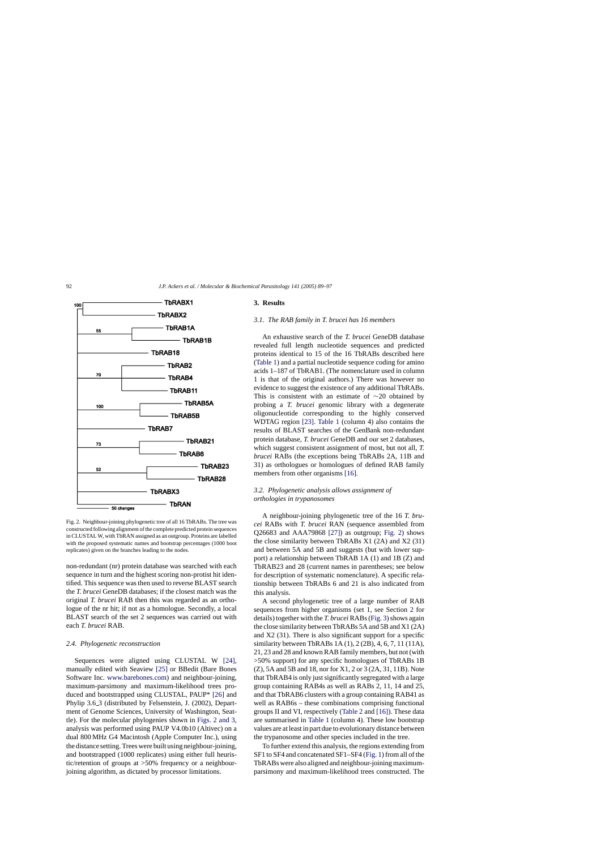<span id="page-3-0"></span>

Fig. 2. Neighbour-joining phylogenetic tree of all 16 TbRABs. The tree was constructed following alignment of the complete predicted protein sequences in CLUSTAL W, with TbRAN assigned as an outgroup. Proteins are labelled with the proposed systematic names and bootstrap percentages (1000 boot replicates) given on the branches leading to the nodes.

non-redundant (nr) protein database was searched with each sequence in turn and the highest scoring non-protist hit identified. This sequence was then used to reverse BLAST search the *T. brucei* GeneDB databases; if the closest match was the original *T. brucei* RAB then this was regarded as an orthologue of the nr hit; if not as a homologue. Secondly, a local BLAST search of the set 2 sequences was carried out with each *T. brucei* RAB.

### *2.4. Phylogenetic reconstruction*

Sequences were aligned using CLUSTAL W [\[24\],](#page-8-0) manually edited with Seaview [\[25\]](#page-8-0) or BBedit (Bare Bones Software Inc. [www.barebones.com\)](http://www.barebones.com/) and neighbour-joining, maximum-parsimony and maximum-likelihood trees produced and bootstrapped using CLUSTAL, PAUP\* [\[26\]](#page-8-0) and Phylip 3.6 3 (distributed by Felsenstein, J. (2002), Department of Genome Sciences, University of Washington, Seattle). For the molecular phylogenies shown in Figs. 2 and 3, analysis was performed using PAUP V4.0b10 (Altivec) on a dual 800 MHz G4 Macintosh (Apple Computer Inc.), using the distance setting. Trees were built using neighbour-joining, and bootstrapped (1000 replicates) using either full heuristic/retention of groups at >50% frequency or a neighbourjoining algorithm, as dictated by processor limitations.

## **3. Results**

### *3.1. The RAB family in T. brucei has 16 members*

An exhaustive search of the *T. brucei* GeneDB database revealed full length nucleotide sequences and predicted proteins identical to 15 of the 16 TbRABs described here [\(Table 1\)](#page-2-0) and a partial nucleotide sequence coding for amino acids 1–187 of TbRAB1. (The nomenclature used in column 1 is that of the original authors.) There was however no evidence to suggest the existence of any additional TbRABs. This is consistent with an estimate of ∼20 obtained by probing a *T. brucei* genomic library with a degenerate oligonucleotide corresponding to the highly conserved WDTAG region [\[23\].](#page-8-0) [Table 1](#page-2-0) (column 4) also contains the results of BLAST searches of the GenBank non-redundant protein database, *T. brucei* GeneDB and our set 2 databases, which suggest consistent assignment of most, but not all, *T. brucei* RABs (the exceptions being TbRABs 2A, 11B and 31) as orthologues or homologues of defined RAB family members from other organisms [\[16\].](#page-8-0)

# *3.2. Phylogenetic analysis allows assignment of orthologies in trypanosomes*

A neighbour-joining phylogenetic tree of the 16 *T. brucei* RABs with *T. brucei* RAN (sequence assembled from Q26683 and AAA79868 [\[27\]\)](#page-8-0) as outgroup; Fig. 2) shows the close similarity between TbRABs X1 (2A) and X2 (31) and between 5A and 5B and suggests (but with lower support) a relationship between TbRAB 1A (1) and 1B (Z) and TbRAB23 and 28 (current names in parentheses; see below for description of systematic nomenclature). A specific relationship between TbRABs 6 and 21 is also indicated from this analysis.

A second phylogenetic tree of a large number of RAB sequences from higher organisms (set 1, see Section [2](#page-1-0) for details) together with the *T. brucei*RABs ([Fig. 3\) s](#page-4-0)hows again the close similarity between TbRABs 5A and 5B and X1 (2A) and X2 (31). There is also significant support for a specific similarity between TbRABs 1A (1), 2 (2B), 4, 6, 7, 11 (11A), 21, 23 and 28 and known RAB family members, but not (with >50% support) for any specific homologues of TbRABs 1B (Z), 5A and 5B and 18, nor for X1, 2 or 3 (2A, 31, 11B). Note that TbRAB4 is only just significantly segregated with a large group containing RAB4s as well as RABs 2, 11, 14 and 25, and that TbRAB6 clusters with a group containing RAB41 as well as RAB6s – these combinations comprising functional groups II and VI, respectively [\(Table 2](#page-5-0) and [\[16\]\).](#page-8-0) These data are summarised in [Table 1](#page-2-0) (column 4). These low bootstrap values are at least in part due to evolutionary distance between the trypanosome and other species included in the tree.

To further extend this analysis, the regions extending from SF1 to SF4 and concatenated SF1–SF4 ([Fig. 1\) f](#page-1-0)rom all of the TbRABs were also aligned and neighbour-joining maximumparsimony and maximum-likelihood trees constructed. The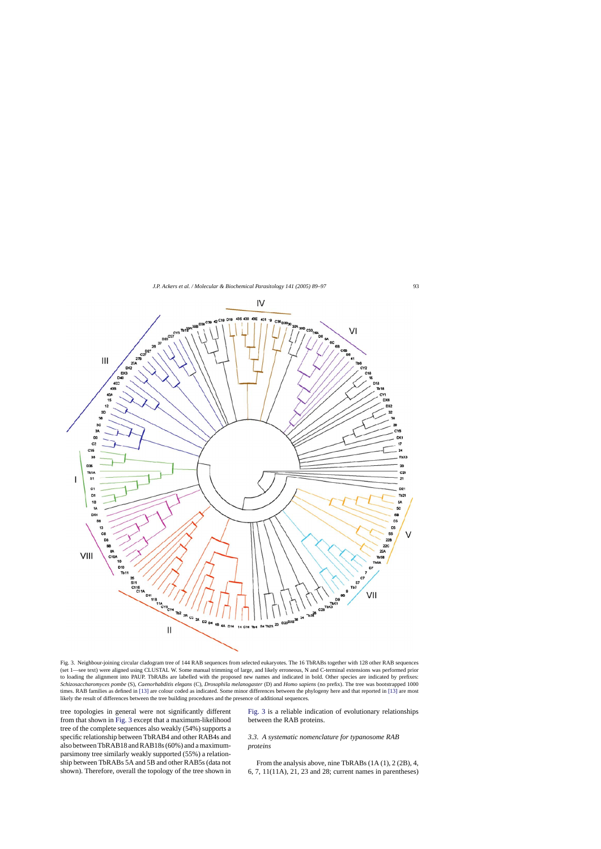<span id="page-4-0"></span>

Fig. 3. Neighbour-joining circular cladogram tree of 144 RAB sequences from selected eukaryotes. The 16 TbRABs together with 128 other RAB sequences (set 1—see text) were aligned using CLUSTAL W. Some manual trimming of large, and likely erroneous, N and C-terminal extensions was performed prior to loading the alignment into PAUP. TbRABs are labelled with the proposed new names and indicated in bold. Other species are indicated by prefixes: *Schizosaccharomyces pombe* (S), *Caenorhabditis elegans* (C), *Drosophila melanogaster* (D) and *Homo sapiens* (no prefix). The tree was bootstrapped 1000 times. RAB families as defined in [\[13\]](#page-8-0) are colour coded as indicated. Some minor differences between the phylogeny here and that reported in [13] are most likely the result of differences between the tree building procedures and the presence of additional sequences.

tree topologies in general were not significantly different from that shown in Fig. 3 except that a maximum-likelihood tree of the complete sequences also weakly (54%) supports a specific relationship between TbRAB4 and other RAB4s and also between TbRAB18 and RAB18s (60%) and a maximumparsimony tree similarly weakly supported (55%) a relationship between TbRABs 5A and 5B and other RAB5s (data not shown). Therefore, overall the topology of the tree shown in

Fig. 3 is a reliable indication of evolutionary relationships between the RAB proteins.

# *3.3. A systematic nomenclature for typanosome RAB proteins*

From the analysis above, nine TbRABs (1A (1), 2 (2B), 4, 6, 7, 11(11A), 21, 23 and 28; current names in parentheses)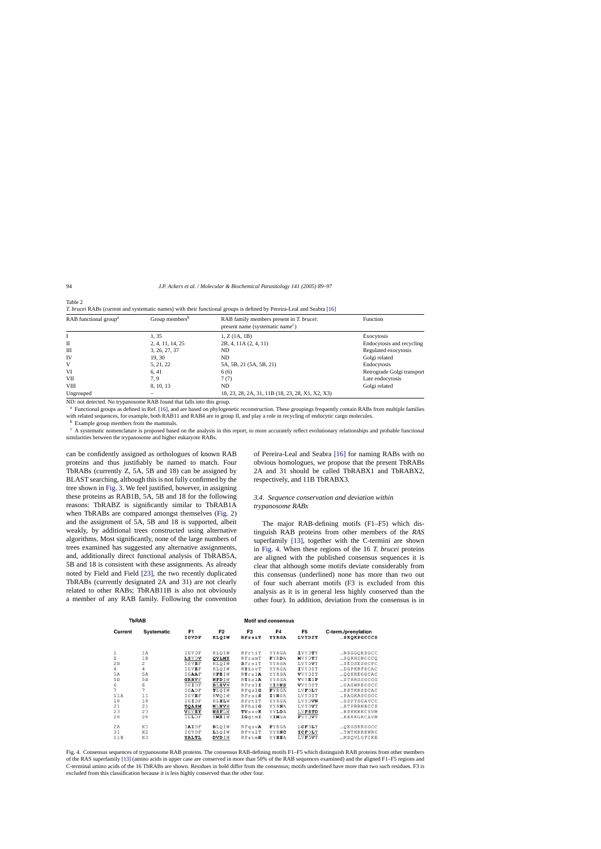<span id="page-5-0"></span>

| Table 2                           |                            |                                                                                                                              |
|-----------------------------------|----------------------------|------------------------------------------------------------------------------------------------------------------------------|
|                                   |                            | <i>T. brucei</i> RABs (current and systematic names) with their functional groups is defined by Pereira-Leal and Seabra [16] |
| RAB functional group <sup>a</sup> | Group members <sup>b</sup> | RAB family members present in T. brucei:                                                                                     |

| RAB functional group <sup>a</sup> | Group members <sup>b</sup> | RAB family members present in <i>T. brucei</i> :<br>present name (systematic name <sup>c</sup> ) | Function                   |  |
|-----------------------------------|----------------------------|--------------------------------------------------------------------------------------------------|----------------------------|--|
|                                   | 1,35                       | 1, Z(1A, 1B)                                                                                     | Exocytosis                 |  |
| П                                 | 2, 4, 11, 14, 25           | 2B, 4, 11A (2, 4, 11)                                                                            | Endocytosis and recycling  |  |
| Ш                                 | 3, 26, 27, 37              | ND.                                                                                              | Regulated exocytosis       |  |
| <b>IV</b>                         | 19.30                      | ND.                                                                                              | Golgi related              |  |
| V                                 | 5, 21, 22                  | 5A, 5B, 21 (5A, 5B, 21)                                                                          | Endocytosis                |  |
| VI                                | 6, 41                      | 6(6)                                                                                             | Retrograde Golgi transport |  |
| VII                               | 7.9                        | 7(7)                                                                                             | Late endocytosis           |  |
| <b>VIII</b>                       | 8, 10, 13                  | ND.                                                                                              | Golgi related              |  |
| Ungrouped                         |                            | 18, 23, 28, 2A, 31, 11B (18, 23, 28, X1, X2, X3)                                                 |                            |  |

ND: not detected. No trypanosome RAB found that falls into this group.

<sup>a</sup> Functional groups as defined in Ref. [\[16\], a](#page-8-0)nd are based on phylogenetic reconstruction. These groupings frequently contain RABs from multiple families with related sequences, for example, both RAB11 and RAB4 are in group II, and play a role in recycling of endocytic cargo molecules.

<sup>b</sup> Example group members from the mammals.

 $c$  A systematic nomenclature is proposed based on the analysis in this report, to more accurately reflect evolutionary relationships and probable functional similarities between the trypanosome and higher eukaryote RABs.

can be confidently assigned as orthologues of known RAB proteins and thus justifiably be named to match. Four TbRABs (currently Z, 5A, 5B and 18) can be assigned by BLAST searching, although this is not fully confirmed by the tree shown in [Fig. 3. W](#page-4-0)e feel justified, however, in assigning these proteins as RAB1B, 5A, 5B and 18 for the following reasons: TbRABZ is significantly similar to TbRAB1A when TbRABs are compared amongst themselves [\(Fig. 2\)](#page-3-0) and the assignment of 5A, 5B and 18 is supported, albeit weakly, by additional trees constructed using alternative algorithms. Most significantly, none of the large numbers of trees examined has suggested any alternative assignments, and, additionally direct functional analysis of TbRAB5A, 5B and 18 is consistent with these assignments. As already noted by Field and Field [\[23\],](#page-8-0) the two recently duplicated TbRABs (currently designated 2A and 31) are not clearly related to other RABs; TbRAB11B is also not obviously a member of any RAB family. Following the convention of Pereira-Leal and Seabra [\[16\]](#page-8-0) for naming RABs with no obvious homologues, we propose that the present TbRABs 2A and 31 should be called TbRABX1 and TbRABX2, respectively, and 11B TbRABX3.

# *3.4. Sequence conservation and deviation within trypanosome RABs*

The major RAB-defining motifs (F1–F5) which distinguish RAB proteins from other members of the *RAS* superfamily [\[13\],](#page-8-0) together with the C-termini are shown in Fig. 4. When these regions of the 16 *T. brucei* proteins are aligned with the published consensus sequences it is clear that although some motifs deviate considerably from this consensus (underlined) none has more than two out of four such aberrant motifs (F3 is excluded from this analysis as it is in general less highly conserved than the other four). In addition, deviation from the consensus is in

|                                                                   | <b>TbRAB</b>                                                           | <b>Motif and consensus</b>                                                                                               |                                                                                                                                        |                                                                                                                                |                                                                                                                   |                                                                                                                                                     |                                                                                                                                                                                     |
|-------------------------------------------------------------------|------------------------------------------------------------------------|--------------------------------------------------------------------------------------------------------------------------|----------------------------------------------------------------------------------------------------------------------------------------|--------------------------------------------------------------------------------------------------------------------------------|-------------------------------------------------------------------------------------------------------------------|-----------------------------------------------------------------------------------------------------------------------------------------------------|-------------------------------------------------------------------------------------------------------------------------------------------------------------------------------------|
| Current                                                           | <b>Systematic</b>                                                      | F <sub>1</sub><br>IGVDF                                                                                                  | F2<br><b>KLOIW</b>                                                                                                                     | F <sub>3</sub><br>RFrsiT                                                                                                       | F4<br><b>YYRGA</b>                                                                                                | F5<br>LVYDIT                                                                                                                                        | C-term./prenylation<br>SKOKPGCCCS                                                                                                                                                   |
| 1<br>Z<br>2B<br>4<br>5A<br>5B<br>6<br>11A<br>18<br>21<br>23<br>28 | 1A<br>1B<br>2<br>4<br>5A<br>5B<br>6<br>7<br>11<br>18<br>21<br>23<br>28 | IGVDF<br>LSVDV<br>IGVEF<br>IGVEF<br>IGAAF<br><b>GRRVF</b><br>IGIDF<br>IGADE<br>IGVEF<br>IGIDF<br>TQASM<br>VGVEY<br>IGLDF | KLOIW<br>QVLMY<br>KLOIW<br>KLOIW<br>KFEIW<br>NFDIW<br><b>RLHVW</b><br>TLOIW<br>KVOIW<br>KLHLW<br><b>NLNVW</b><br>NSFLW<br><b>KMEIW</b> | RFrtiT<br>RFramT<br>SFrsiT<br>RYksvT<br>RYrslA<br>RYkslA<br>RFrslI<br>RFaslG<br>RFraiS<br>RFrtlT<br>RFhalG<br>TVSSVK<br>IGqtmI | YYRGA<br>FYRDA<br>YYRGA<br>YYRGA<br>YYRGA<br>YYRGA<br>YIRNS<br>FYRGA<br>IYHGA<br>YYRGA<br>YYRNA<br>YYLDA<br>YIMGA | <b>IVYDTT</b><br>MVYDTT<br>LVYDVT<br>IVYDIT<br>VVYDIT<br><b>VVYEIP</b><br>VVYDIT<br>LVFDLT<br>LVYDIT<br>LVYDVN<br>LVYDVT<br>LVFSTD<br><b>FVYDVT</b> | NSGGQKSGCC<br>SORN DNCCCO<br>SEDSESGCFC<br>DGPKRFSCAC<br>OOKKEGGCAC<br>STRRSSGCCG<br>GAGWREGGCC<br>PSTKKSDCAC<br>PAGKASGGCC<br>SDPTSGAVCC<br>ATPRRNRCCS<br>KSKKKKCSVM<br>KKKKGKCAVM |
| 2A<br>31<br>11B                                                   | X1<br>X <sub>2</sub><br>X <sub>3</sub>                                 | IAIDE<br>IGVDF<br>YALTL                                                                                                  | <b>RLOIW</b><br>LLOIW<br><b>DVDIW</b>                                                                                                  | RFqsvA<br>RFvslT<br>RFstmH                                                                                                     | FYRGA<br>YYRNC<br>YYHEA                                                                                           | LCFDLT<br>ICFDLT<br>LVFDVT                                                                                                                          | QKGSKRGGCC<br>THTKKRKWRC<br>MSQVLGFIKE                                                                                                                                              |

Fig. 4. Consensus sequences of trypanosome RAB proteins. The consensus RAB-defining motifs F1–F5 which distinguish RAB proteins from other members of the RAS superfamily [\[13\]](#page-8-0) (amino acids in upper case are conserved in more than 50% of the RAB sequences examined) and the aligned F1–F5 regions and C-terminal amino acids of the 16 TbRABs are shown. Residues in bold differ from the consensus; motifs underlined have more than two such residues. F3 is excluded from this classification because it is less highly conserved than the other four.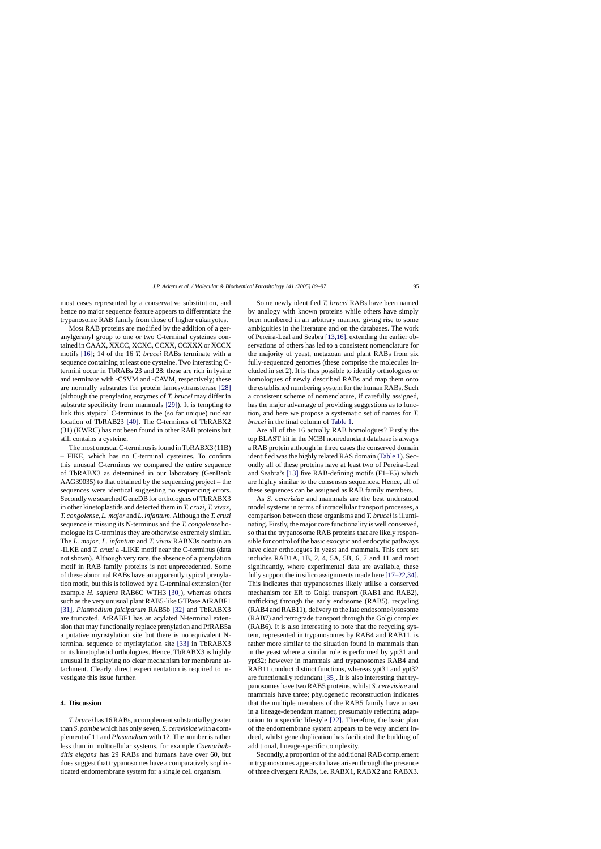most cases represented by a conservative substitution, and hence no major sequence feature appears to differentiate the trypanosome RAB family from those of higher eukaryotes.

Most RAB proteins are modified by the addition of a geranylgeranyl group to one or two C-terminal cysteines contained in CAAX, XXCC, XCXC, CCXX, CCXXX or XCCX motifs [\[16\];](#page-8-0) 14 of the 16 *T. brucei* RABs terminate with a sequence containing at least one cysteine. Two interesting Ctermini occur in TbRABs 23 and 28; these are rich in lysine and terminate with -CSVM and -CAVM, respectively; these are normally substrates for protein farnesyltransferase [\[28\]](#page-8-0) (although the prenylating enzymes of *T. brucei* may differ in substrate specificity from mammals [\[29\]\).](#page-8-0) It is tempting to link this atypical C-terminus to the (so far unique) nuclear location of TbRAB23 [\[40\].](#page-8-0) The C-terminus of TbRABX2 (31) (KWRC) has not been found in other RAB proteins but still contains a cysteine.

The most unusual C-terminus is found in TbRABX3 (11B) – FIKE, which has no C-terminal cysteines. To confirm this unusual C-terminus we compared the entire sequence of TbRABX3 as determined in our laboratory (GenBank AAG39035) to that obtained by the sequencing project – the sequences were identical suggesting no sequencing errors. Secondly we searched GeneDB for orthologues of TbRABX3 in other kinetoplastids and detected them in *T. cruzi*, *T. vivax*, *T. congolense*, *L. major* and *L. infantum*. Although the *T. cruzi* sequence is missing its N-terminus and the *T. congolense* homologue its C-terminus they are otherwise extremely similar. The *L. major*, *L. infantum* and *T. vivax* RABX3s contain an -ILKE and *T. cruzi* a -LIKE motif near the C-terminus (data not shown). Although very rare, the absence of a prenylation motif in RAB family proteins is not unprecedented. Some of these abnormal RABs have an apparently typical prenylation motif, but this is followed by a C-terminal extension (for example *H. sapiens* RAB6C WTH3 [\[30\]\),](#page-8-0) whereas others such as the very unusual plant RAB5-like GTPase AtRABF1 [\[31\],](#page-8-0) *Plasmodium falciparum* RAB5b [\[32\]](#page-8-0) and TbRABX3 are truncated. AtRABF1 has an acylated N-terminal extension that may functionally replace prenylation and PfRAB5a a putative myristylation site but there is no equivalent Nterminal sequence or myristylation site [\[33\]](#page-8-0) in TbRABX3 or its kinetoplastid orthologues. Hence, TbRABX3 is highly unusual in displaying no clear mechanism for membrane attachment. Clearly, direct experimentation is required to investigate this issue further.

# **4. Discussion**

*T. brucei* has 16 RABs, a complement substantially greater than *S. pombe* which has only seven, *S. cerevisiae* with a complement of 11 and *Plasmodium* with 12. The number is rather less than in multicellular systems, for example *Caenorhabditis elegans* has 29 RABs and humans have over 60, but does suggest that trypanosomes have a comparatively sophisticated endomembrane system for a single cell organism.

Some newly identified *T. brucei* RABs have been named by analogy with known proteins while others have simply been numbered in an arbitrary manner, giving rise to some ambiguities in the literature and on the databases. The work of Pereira-Leal and Seabra [\[13,16\], e](#page-8-0)xtending the earlier observations of others has led to a consistent nomenclature for the majority of yeast, metazoan and plant RABs from six fully-sequenced genomes (these comprise the molecules included in set 2). It is thus possible to identify orthologues or homologues of newly described RABs and map them onto the established numbering system for the human RABs. Such a consistent scheme of nomenclature, if carefully assigned, has the major advantage of providing suggestions as to function, and here we propose a systematic set of names for *T. brucei* in the final column of [Table 1.](#page-2-0)

Are all of the 16 actually RAB homologues? Firstly the top BLAST hit in the NCBI nonredundant database is always a RAB protein although in three cases the conserved domain identified was the highly related RAS domain [\(Table 1\).](#page-2-0) Secondly all of these proteins have at least two of Pereira-Leal and Seabra's [\[13\]](#page-8-0) five RAB-defining motifs (F1–F5) which are highly similar to the consensus sequences. Hence, all of these sequences can be assigned as RAB family members.

As *S. cerevisiae* and mammals are the best understood model systems in terms of intracellular transport processes, a comparison between these organisms and *T. brucei* is illuminating. Firstly, the major core functionality is well conserved, so that the trypanosome RAB proteins that are likely responsible for control of the basic exocytic and endocytic pathways have clear orthologues in yeast and mammals. This core set includes RAB1A, 1B, 2, 4, 5A, 5B, 6, 7 and 11 and most significantly, where experimental data are available, these fully support the in silico assignments made here [\[17–22,34\].](#page-8-0) This indicates that trypanosomes likely utilise a conserved mechanism for ER to Golgi transport (RAB1 and RAB2), trafficking through the early endosome (RAB5), recycling (RAB4 and RAB11), delivery to the late endosome/lysosome (RAB7) and retrograde transport through the Golgi complex (RAB6). It is also interesting to note that the recycling system, represented in trypanosomes by RAB4 and RAB11, is rather more similar to the situation found in mammals than in the yeast where a similar role is performed by ypt31 and ypt32; however in mammals and trypanosomes RAB4 and RAB11 conduct distinct functions, whereas ypt31 and ypt32 are functionally redundant [\[35\]. I](#page-8-0)t is also interesting that trypanosomes have two RAB5 proteins, whilst *S. cerevisiae* and mammals have three; phylogenetic reconstruction indicates that the multiple members of the RAB5 family have arisen in a lineage-dependant manner, presumably reflecting adaptation to a specific lifestyle [\[22\].](#page-8-0) Therefore, the basic plan of the endomembrane system appears to be very ancient indeed, whilst gene duplication has facilitated the building of additional, lineage-specific complexity.

Secondly, a proportion of the additional RAB complement in trypanosomes appears to have arisen through the presence of three divergent RABs, i.e. RABX1, RABX2 and RABX3.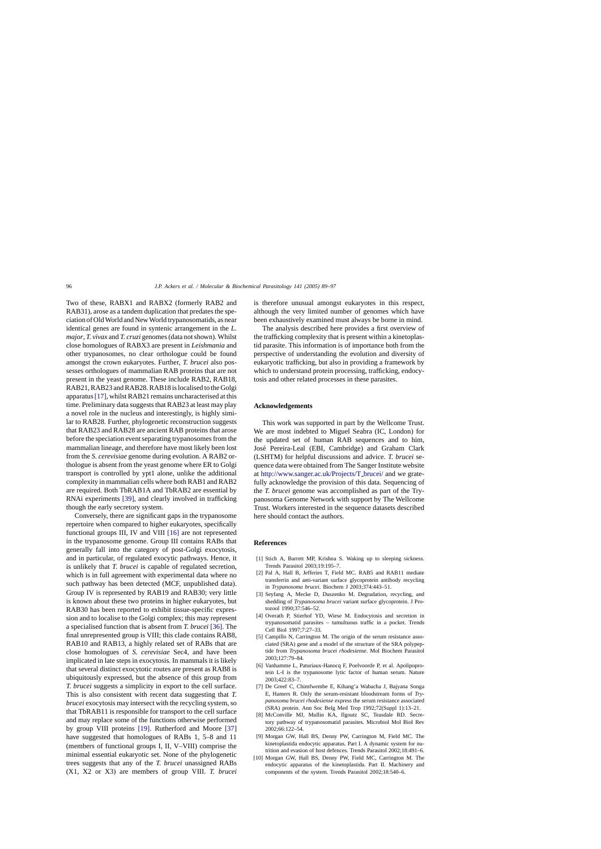<span id="page-7-0"></span>Two of these, RABX1 and RABX2 (formerly RAB2 and RAB31), arose as a tandem duplication that predates the speciation of Old World and New World trypanosomatids, as near identical genes are found in syntenic arrangement in the *L. major*, *T. vivax* and *T. cruzi* genomes (data not shown). Whilst close homologues of RABX3 are present in *Leishmania* and other trypanosomes, no clear orthologue could be found amongst the crown eukaryotes. Further, *T. brucei* also possesses orthologues of mammalian RAB proteins that are not present in the yeast genome. These include RAB2, RAB18, RAB21, RAB23 and RAB28. RAB18 is localised to the Golgi apparatus[\[17\], w](#page-8-0)hilst RAB21 remains uncharacterised at this time. Preliminary data suggests that RAB23 at least may play a novel role in the nucleus and interestingly, is highly similar to RAB28. Further, phylogenetic reconstruction suggests that RAB23 and RAB28 are ancient RAB proteins that arose before the speciation event separating trypanosomes from the mammalian lineage, and therefore have most likely been lost from the *S. cerevisiae* genome during evolution. A RAB2 orthologue is absent from the yeast genome where ER to Golgi transport is controlled by ypt1 alone, unlike the additional complexity in mammalian cells where both RAB1 and RAB2 are required. Both TbRAB1A and TbRAB2 are essential by RNAi experiments [\[39\],](#page-8-0) and clearly involved in trafficking though the early secretory system.

Conversely, there are significant gaps in the trypanosome repertoire when compared to higher eukaryotes, specifically functional groups III, IV and VIII [\[16\]](#page-8-0) are not represented in the trypanosome genome. Group III contains RABs that generally fall into the category of post-Golgi exocytosis, and in particular, of regulated exocytic pathways. Hence, it is unlikely that *T. brucei* is capable of regulated secretion, which is in full agreement with experimental data where no such pathway has been detected (MCF, unpublished data). Group IV is represented by RAB19 and RAB30; very little is known about these two proteins in higher eukaryotes, but RAB30 has been reported to exhibit tissue-specific expression and to localise to the Golgi complex; this may represent a specialised function that is absent from *T. brucei* [\[36\].](#page-8-0) The final unrepresented group is VIII; this clade contains RAB8, RAB10 and RAB13, a highly related set of RABs that are close homologues of *S. cerevisiae* Sec4, and have been implicated in late steps in exocytosis. In mammals it is likely that several distinct exocytotic routes are present as RAB8 is ubiquitously expressed, but the absence of this group from *T. brucei* suggests a simplicity in export to the cell surface. This is also consistent with recent data suggesting that *T. brucei* exocytosis may intersect with the recycling system, so that TbRAB11 is responsible for transport to the cell surface and may replace some of the functions otherwise performed by group VIII proteins [\[19\].](#page-8-0) Rutherford and Moore [\[37\]](#page-8-0) have suggested that homologues of RABs 1, 5–8 and 11 (members of functional groups I, II, V–VIII) comprise the minimal essential eukaryotic set. None of the phylogenetic trees suggests that any of the *T. brucei* unassigned RABs (X1, X2 or X3) are members of group VIII. *T. brucei* is therefore unusual amongst eukaryotes in this respect, although the very limited number of genomes which have been exhaustively examined must always be borne in mind.

The analysis described here provides a first overview of the trafficking complexity that is present within a kinetoplastid parasite. This information is of importance both from the perspective of understanding the evolution and diversity of eukaryotic trafficking, but also in providing a framework by which to understand protein processing, trafficking, endocytosis and other related processes in these parasites.

## **Acknowledgements**

This work was supported in part by the Wellcome Trust. We are most indebted to Miguel Seabra (IC, London) for the updated set of human RAB sequences and to him, Jose Pereira-Leal (EBI, Cambridge) and Graham Clark ´ (LSHTM) for helpful discussions and advice. *T. brucei* sequence data were obtained from The Sanger Institute website at [http://www.sanger.ac.uk/Projects/T](http://www.sanger.ac.uk/projects/t_brucei/) brucei/ and we gratefully acknowledge the provision of this data. Sequencing of the *T. brucei* genome was accomplished as part of the Trypanosoma Genome Network with support by The Wellcome Trust. Workers interested in the sequence datasets described here should contact the authors.

### **References**

- [1] Stich A, Barrett MP, Krishna S. Waking up to sleeping sickness. Trends Parasitol 2003;19:195–7.
- [2] Pal A, Hall B, Jefferies T, Field MC. RAB5 and RAB11 mediate transferrin and anti-variant surface glycoprotein antibody recycling in *Trypanosoma brucei*. Biochem J 2003;374:443–51.
- [3] Seyfang A, Mecke D, Duszenko M. Degradation, recycling, and shedding of *Trypanosoma brucei* variant surface glycoprotein. J Protozool 1990;37:546–52.
- [4] Overath P, Stierhof YD, Wiese M. Endocytosis and secretion in trypanosomatid parasites – tumultuous traffic in a pocket. Trends Cell Biol 1997;7:27–33.
- [5] Campillo N, Carrington M. The origin of the serum resistance associated (SRA) gene and a model of the structure of the SRA polypeptide from *Trypanosoma brucei rhodesiense*. Mol Biochem Parasitol 2003;127:79–84.
- [6] Vanhamme L, Paturiaux-Hanocq F, Poelvoorde P, et al. Apolipoprotein L-I is the trypanosome lytic factor of human serum. Nature 2003;422:83–7.
- [7] De Greef C, Chimfwembe E, Kihang'a Wabacha J, Bajyana Songa E, Hamers R. Only the serum-resistant bloodstream forms of *Trypanosoma brucei rhodesiense* express the serum resistance associated (SRA) protein. Ann Soc Belg Med Trop 1992;72(Suppl 1):13–21.
- [8] McConville MJ, Mullin KA, Ilgoutz SC, Teasdale RD. Secretory pathway of trypanosomatid parasites. Microbiol Mol Biol Rev 2002;66:122–54.
- [9] Morgan GW, Hall BS, Denny PW, Carrington M, Field MC. The kinetoplastida endocytic apparatus. Part I. A dynamic system for nutrition and evasion of host defences. Trends Parasitol 2002;18:491–6.
- [10] Morgan GW, Hall BS, Denny PW, Field MC, Carrington M. The endocytic apparatus of the kinetoplastida. Part II. Machinery and components of the system. Trends Parasitol 2002;18:540–6.